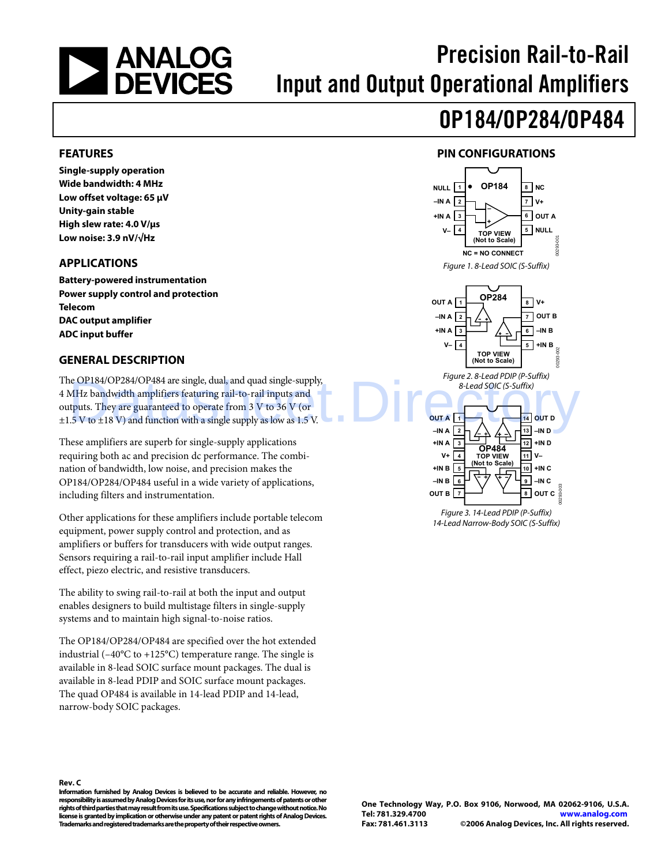<span id="page-0-0"></span>

# Precision Rail-to-Rail Input and Output Operational Amplifiers

# OP184/OP284/OP484

#### **FEATURES**

**Single-supply operation Wide bandwidth: 4 MHz Low offset voltage: 65 μV Unity-gain stable High slew rate: 4.0 V/μs Low noise: 3.9 nV/√Hz** 

#### **APPLICATIONS**

**Battery-powered instrumentation Power supply control and protection Telecom DAC output amplifier ADC input buffer** 

#### **GENERAL DESCRIPTION**

The OP184/OP284/OP484 are single, dual, and quad single-supply, 4 MHz bandwidth amplifiers featuring rail-to-rail inputs and outputs. They are guaranteed to operate from 3 V to 36 V (or  $\pm$ 1.5 V to  $\pm$ 18 V) and function with a single supply as low as 1.5 V. e OP184/OP284/OP484 are single, dual, and quad single-supply,<br>
MHz bandwidth amplifiers featuring rail-to-rail inputs and<br>
thuts. They are guaranteed to operate from 3 V to 36 V (or<br>
.5 V to ±18 V) and function with a sin

These amplifiers are superb for single-supply applications requiring both ac and precision dc performance. The combination of bandwidth, low noise, and precision makes the OP184/OP284/OP484 useful in a wide variety of applications, including filters and instrumentation.

Other applications for these amplifiers include portable telecom equipment, power supply control and protection, and as amplifiers or buffers for transducers with wide output ranges. Sensors requiring a rail-to-rail input amplifier include Hall effect, piezo electric, and resistive transducers.

The ability to swing rail-to-rail at both the input and output enables designers to build multistage filters in single-supply systems and to maintain high signal-to-noise ratios.

The OP184/OP284/OP484 are specified over the hot extended industrial ( $-40^{\circ}$ C to  $+125^{\circ}$ C) temperature range. The single is available in 8-lead SOIC surface mount packages. The dual is available in 8-lead PDIP and SOIC surface mount packages. The quad OP484 is available in 14-lead PDIP and 14-lead, narrow-body SOIC packages.

### **PIN CONFIGURATIONS**



14-Lead Narrow-Body SOIC (S-Suffix)

**Rev. C** 

**Information furnished by Analog Devices is believed to be accurate and reliable. However, no responsibility is assumed by Analog Devices for its use, nor for any infringements of patents or other rights of third parties that may result from its use. Specifications subject to change without notice. No license is granted by implication or otherwise under any patent or patent rights of Analog Devices. Trademarks and registered trademarks are the property of their respective owners.**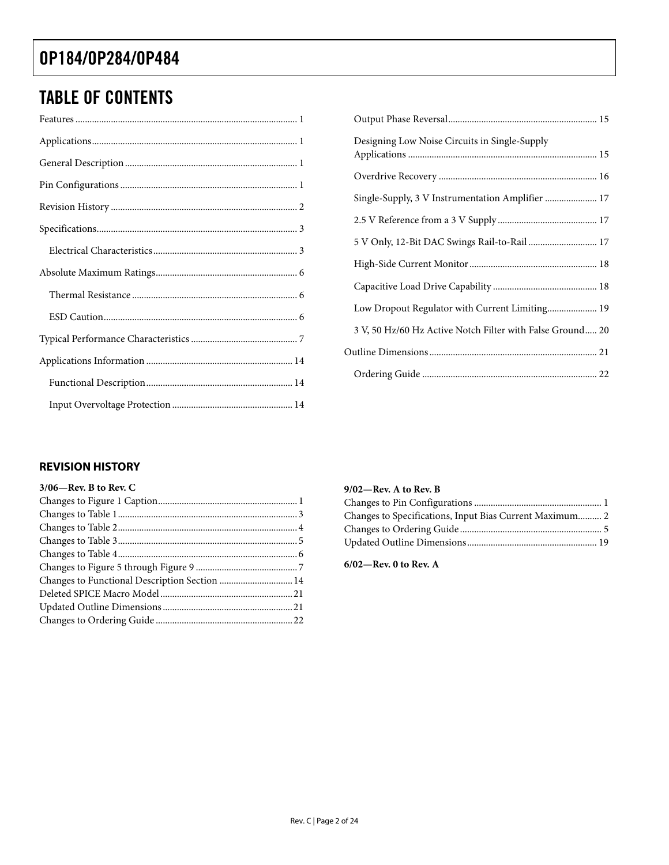### <span id="page-1-0"></span>TABLE OF CONTENTS

| Designing Low Noise Circuits in Single-Supply             |
|-----------------------------------------------------------|
|                                                           |
| Single-Supply, 3 V Instrumentation Amplifier  17          |
|                                                           |
| 5 V Only, 12-Bit DAC Swings Rail-to-Rail 17               |
|                                                           |
|                                                           |
| Low Dropout Regulator with Current Limiting 19            |
| 3 V, 50 Hz/60 Hz Active Notch Filter with False Ground 20 |
|                                                           |
|                                                           |

#### **REVISION HISTORY**

| $3/06$ —Rev. B to Rev. C                      |  |
|-----------------------------------------------|--|
|                                               |  |
|                                               |  |
|                                               |  |
|                                               |  |
|                                               |  |
|                                               |  |
| Changes to Functional Description Section  14 |  |
|                                               |  |
|                                               |  |
|                                               |  |

#### **9/02—Rev. A to Rev. B**

| Changes to Specifications, Input Bias Current Maximum 2 |  |
|---------------------------------------------------------|--|
|                                                         |  |
|                                                         |  |

**6/02—Rev. 0 to Rev. A**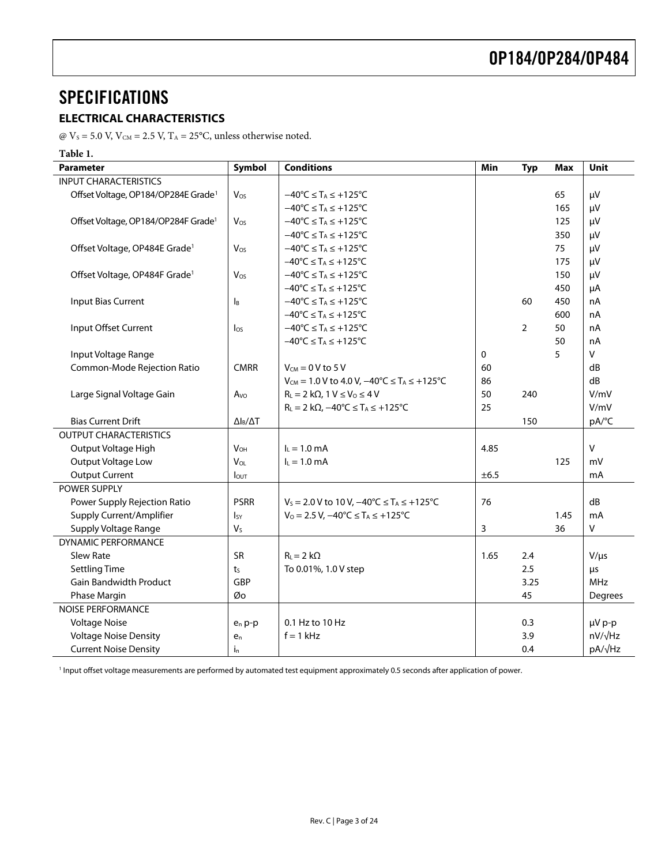### <span id="page-2-0"></span>**SPECIFICATIONS**

#### **ELECTRICAL CHARACTERISTICS**

@  $V_s$  = 5.0 V,  $V_{CM}$  = 2.5 V,  $T_A$  = 25°C, unless otherwise noted.

#### **Table 1.**

<span id="page-2-1"></span>

| <b>Parameter</b>                                | Symbol                | <b>Conditions</b>                                                   | Min  | <b>Typ</b>     | <b>Max</b> | <b>Unit</b>     |
|-------------------------------------------------|-----------------------|---------------------------------------------------------------------|------|----------------|------------|-----------------|
| <b>INPUT CHARACTERISTICS</b>                    |                       |                                                                     |      |                |            |                 |
| Offset Voltage, OP184/OP284E Grade <sup>1</sup> | Vos                   | $-40^{\circ}$ C $\leq$ T <sub>A</sub> $\leq$ +125 $^{\circ}$ C      |      |                | 65         | μV              |
|                                                 |                       | $-40^{\circ}$ C $\leq$ T <sub>A</sub> $\leq$ +125 $^{\circ}$ C      |      |                | 165        | μV              |
| Offset Voltage, OP184/OP284F Grade <sup>1</sup> | Vos                   | $-40^{\circ}$ C $\leq$ T <sub>A</sub> $\leq$ +125 $^{\circ}$ C      |      |                | 125        | μV              |
|                                                 |                       | $-40^{\circ}C \leq T_A \leq +125^{\circ}C$                          |      |                | 350        | μV              |
| Offset Voltage, OP484E Grade <sup>1</sup>       | Vos                   | $-40^{\circ}C \leq T_A \leq +125^{\circ}C$                          |      |                | 75         | μV              |
|                                                 |                       | $-40^{\circ}$ C $\leq$ T <sub>A</sub> $\leq$ +125°C                 |      |                | 175        | μV              |
| Offset Voltage, OP484F Grade <sup>1</sup>       | Vos                   | $-40^{\circ}C \leq T_A \leq +125^{\circ}C$                          |      |                | 150        | μV              |
|                                                 |                       | $-40^{\circ}C \leq T_A \leq +125^{\circ}C$                          |      |                | 450        | μA              |
| Input Bias Current                              | Iв                    | $-40^{\circ}C \leq T_A \leq +125^{\circ}C$                          |      | 60             | 450        | nA              |
|                                                 |                       | $-40^{\circ}C \leq T_A \leq +125^{\circ}C$                          |      |                | 600        | nA              |
| Input Offset Current                            | $\log$                | $-40^{\circ}C \leq T_A \leq +125^{\circ}C$                          |      | $\overline{2}$ | 50         | nA              |
|                                                 |                       | $-40^{\circ}C \leq T_A \leq +125^{\circ}C$                          |      |                | 50         | nA              |
| Input Voltage Range                             |                       |                                                                     | 0    |                | 5          | V               |
| Common-Mode Rejection Ratio                     | <b>CMRR</b>           | $V_{CM}$ = 0 V to 5 V                                               | 60   |                |            | dB              |
|                                                 |                       | $V_{CM} = 1.0 V$ to 4.0 V, $-40^{\circ}C \le T_A \le +125^{\circ}C$ | 86   |                |            | dB              |
| Large Signal Voltage Gain                       | $A_{\rm VO}$          | $R_L = 2 k\Omega$ , $1 V \le V_0 \le 4 V$                           | 50   | 240            |            | V/mV            |
|                                                 |                       | $R_L = 2 k\Omega$ , $-40^{\circ}C \leq T_A \leq +125^{\circ}C$      | 25   |                |            | V/mV            |
| <b>Bias Current Drift</b>                       | $\Delta I_B/\Delta T$ |                                                                     |      | 150            |            | pA/°C           |
| <b>OUTPUT CHARACTERISTICS</b>                   |                       |                                                                     |      |                |            |                 |
| Output Voltage High                             | <b>V<sub>OH</sub></b> | $I_L = 1.0$ mA                                                      | 4.85 |                |            | $\mathsf{V}$    |
| Output Voltage Low                              | VOL                   | $I_L = 1.0$ mA                                                      |      |                | 125        | mV              |
| <b>Output Current</b>                           | $I_{\text{OUT}}$      |                                                                     | ±6.5 |                |            | mA              |
| POWER SUPPLY                                    |                       |                                                                     |      |                |            |                 |
| Power Supply Rejection Ratio                    | <b>PSRR</b>           | $V_s = 2.0 V$ to 10 V, $-40^{\circ}C \le T_A \le +125^{\circ}C$     | 76   |                |            | dB              |
| Supply Current/Amplifier                        | $I_{SY}$              | $V_0 = 2.5 V$ , $-40^{\circ}C \le T_A \le +125^{\circ}C$            |      |                | 1.45       | mA              |
| Supply Voltage Range                            | V <sub>S</sub>        |                                                                     | 3    |                | 36         | $\mathsf{V}$    |
| <b>DYNAMIC PERFORMANCE</b>                      |                       |                                                                     |      |                |            |                 |
| <b>Slew Rate</b>                                | <b>SR</b>             | $R_{L} = 2 k\Omega$                                                 | 1.65 | 2.4            |            | $V/\mu s$       |
| <b>Settling Time</b>                            | t <sub>S</sub>        | To 0.01%, 1.0 V step                                                |      | 2.5            |            | μs              |
| <b>Gain Bandwidth Product</b>                   | GBP                   |                                                                     |      | 3.25           |            | <b>MHz</b>      |
| Phase Margin                                    | Øo                    |                                                                     |      | 45             |            | Degrees         |
| <b>NOISE PERFORMANCE</b>                        |                       |                                                                     |      |                |            |                 |
| <b>Voltage Noise</b>                            | $e_n p-p$             | 0.1 Hz to 10 Hz                                                     |      | 0.3            |            | µV p-p          |
| <b>Voltage Noise Density</b>                    | $e_n$                 | $f = 1$ kHz                                                         |      | 3.9            |            | $nV/\sqrt{Hz}$  |
| <b>Current Noise Density</b>                    | İn                    |                                                                     |      | 0.4            |            | pA/ $\sqrt{Hz}$ |

<span id="page-2-2"></span>1 Input offset voltage measurements are performed by automated test equipment approximately 0.5 seconds after application of power.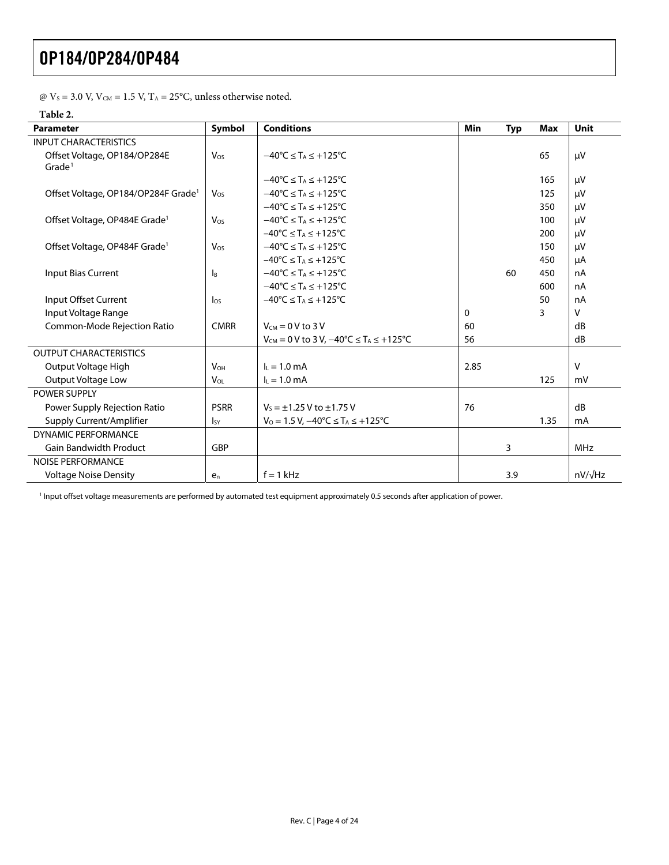|  |  |  |  |  |  |  |  | @ $V_s$ = 3.0 V, $V_{\text{CM}}$ = 1.5 V, T <sub>A</sub> = 25°C, unless otherwise noted. |  |
|--|--|--|--|--|--|--|--|------------------------------------------------------------------------------------------|--|
|--|--|--|--|--|--|--|--|------------------------------------------------------------------------------------------|--|

#### **Table 2.**

<span id="page-3-0"></span>

| <b>Parameter</b>                                | Symbol                 | <b>Conditions</b>                                               | Min  | <b>Typ</b> | <b>Max</b> | Unit           |
|-------------------------------------------------|------------------------|-----------------------------------------------------------------|------|------------|------------|----------------|
| <b>INPUT CHARACTERISTICS</b>                    |                        |                                                                 |      |            |            |                |
| Offset Voltage, OP184/OP284E                    | $V_{OS}$               | $-40^{\circ}$ C $\leq$ T <sub>A</sub> $\leq$ +125 $^{\circ}$ C  |      |            | 65         | μV             |
| Grade <sup>1</sup>                              |                        |                                                                 |      |            |            |                |
|                                                 |                        | $-40^{\circ}$ C $\leq$ T <sub>A</sub> $\leq$ +125°C             |      |            | 165        | μV             |
| Offset Voltage, OP184/OP284F Grade <sup>1</sup> | Vos                    | $-40^{\circ}$ C $\leq$ T <sub>A</sub> $\leq$ +125 $^{\circ}$ C  |      |            | 125        | μV             |
|                                                 |                        | $-40^{\circ}$ C $\leq$ T <sub>A</sub> $\leq$ +125°C             |      |            | 350        | μV             |
| Offset Voltage, OP484E Grade <sup>1</sup>       | Vos                    | $-40^{\circ}$ C $\leq$ T <sub>A</sub> $\leq$ +125°C             |      |            | 100        | μV             |
|                                                 |                        | $-40^{\circ}$ C $\leq$ T <sub>A</sub> $\leq$ +125 $^{\circ}$ C  |      |            | 200        | μV             |
| Offset Voltage, OP484F Grade <sup>1</sup>       | Vos                    | $-40^{\circ}$ C $\leq$ T <sub>A</sub> $\leq$ +125°C             |      |            | 150        | μV             |
|                                                 |                        | $-40^{\circ}$ C $\leq$ T <sub>A</sub> $\leq$ +125 $^{\circ}$ C  |      |            | 450        | μA             |
| Input Bias Current                              | l <sub>B</sub>         | $-40^{\circ}$ C $\leq$ T <sub>A</sub> $\leq$ +125°C             |      | 60         | 450        | nA             |
|                                                 |                        | $-40^{\circ}$ C $\leq$ T <sub>A</sub> $\leq$ +125°C             |      |            | 600        | nA             |
| Input Offset Current                            | $\log$                 | $-40^{\circ}$ C $\leq$ T <sub>A</sub> $\leq$ +125°C             |      |            | 50         | nA             |
| Input Voltage Range                             |                        |                                                                 | 0    |            | 3          | V              |
| Common-Mode Rejection Ratio                     | <b>CMRR</b>            | $V_{CM} = 0 V$ to 3 V                                           | 60   |            |            | dB             |
|                                                 |                        | $V_{CM} = 0$ V to 3 V, $-40^{\circ}C \le T_A \le +125^{\circ}C$ | 56   |            |            | dB             |
| <b>OUTPUT CHARACTERISTICS</b>                   |                        |                                                                 |      |            |            |                |
| Output Voltage High                             | <b>V<sub>OH</sub></b>  | $I_1 = 1.0$ mA                                                  | 2.85 |            |            | V              |
| <b>Output Voltage Low</b>                       | <b>V</b> <sub>OL</sub> | $I_L = 1.0$ mA                                                  |      |            | 125        | mV             |
| <b>POWER SUPPLY</b>                             |                        |                                                                 |      |            |            |                |
| Power Supply Rejection Ratio                    | <b>PSRR</b>            | $V_5 = \pm 1.25$ V to $\pm 1.75$ V                              | 76   |            |            | dB             |
| Supply Current/Amplifier                        | <sub>Isy</sub>         | $V_0 = 1.5 V$ , $-40^{\circ}C \leq T_A \leq +125^{\circ}C$      |      |            | 1.35       | mA             |
| <b>DYNAMIC PERFORMANCE</b>                      |                        |                                                                 |      |            |            |                |
| <b>Gain Bandwidth Product</b>                   | GBP                    |                                                                 |      | 3          |            | <b>MHz</b>     |
| <b>NOISE PERFORMANCE</b>                        |                        |                                                                 |      |            |            |                |
| <b>Voltage Noise Density</b>                    | $e_n$                  | $f = 1$ kHz                                                     |      | 3.9        |            | $nV/\sqrt{Hz}$ |

<span id="page-3-1"></span>1 Input offset voltage measurements are performed by automated test equipment approximately 0.5 seconds after application of power.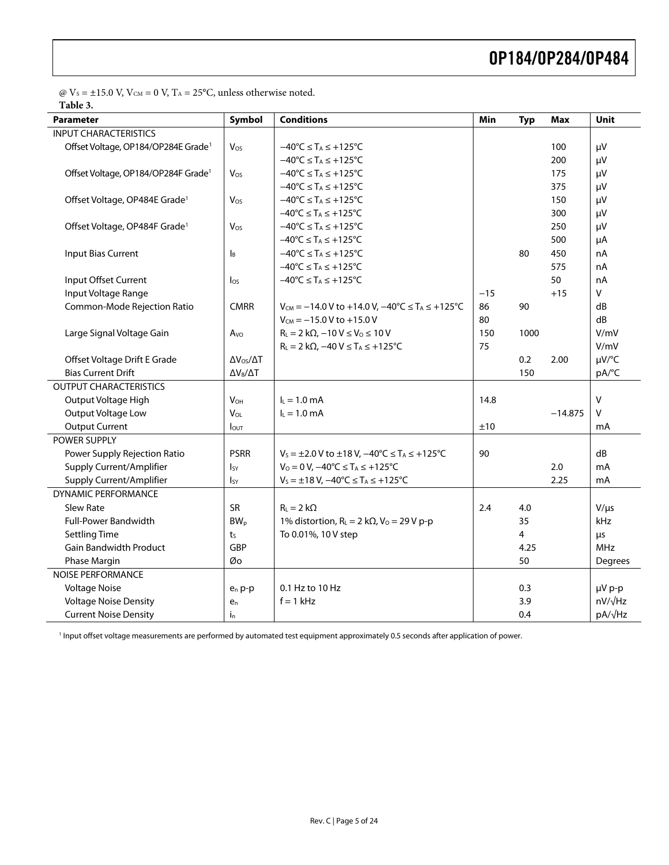$\textcircled{e}\rm{V}_{\rm{}S}=\pm 15.0$  V,  $\rm{V}_{\rm{CM}}=0$  V,  $\rm{T}_{\rm{}A}=25^oC,$  unless otherwise noted. **Table 3.** 

<span id="page-4-0"></span>

| Parameter                                       | Symbol                    | <b>Conditions</b>                                                         | Min   | <b>Typ</b> | Max       | Unit       |
|-------------------------------------------------|---------------------------|---------------------------------------------------------------------------|-------|------------|-----------|------------|
| <b>INPUT CHARACTERISTICS</b>                    |                           |                                                                           |       |            |           |            |
| Offset Voltage, OP184/OP284E Grade <sup>1</sup> | Vos                       | $-40^{\circ}$ C $\leq$ T <sub>A</sub> $\leq$ +125 $^{\circ}$ C            |       |            | 100       | μV         |
|                                                 |                           | $-40^{\circ}C \leq T_A \leq +125^{\circ}C$                                |       |            | 200       | μV         |
| Offset Voltage, OP184/OP284F Grade <sup>1</sup> | Vos                       | $-40^{\circ}C \leq T_A \leq +125^{\circ}C$                                |       |            | 175       | μV         |
|                                                 |                           | $-40^{\circ}$ C $\leq$ T <sub>A</sub> $\leq$ +125 $^{\circ}$ C            |       |            | 375       | μV         |
| Offset Voltage, OP484E Grade <sup>1</sup>       | Vos                       | $-40^{\circ}C \leq T_A \leq +125^{\circ}C$                                |       |            | 150       | μV         |
|                                                 |                           | $-40^{\circ}C \leq T_A \leq +125^{\circ}C$                                |       |            | 300       | μV         |
| Offset Voltage, OP484F Grade <sup>1</sup>       | Vos                       | $-40^{\circ}C \leq T_A \leq +125^{\circ}C$                                |       |            | 250       | μV         |
|                                                 |                           | $-40^{\circ}$ C $\leq$ T <sub>A</sub> $\leq$ +125°C                       |       |            | 500       | μA         |
| Input Bias Current                              | $\mathsf{I}_{\mathsf{B}}$ | $-40^{\circ}C \leq T_A \leq +125^{\circ}C$                                |       | 80         | 450       | nA         |
|                                                 |                           | $-40^{\circ}C \leq T_A \leq +125^{\circ}C$                                |       |            | 575       | nA         |
| Input Offset Current                            | $\log$                    | $-40^{\circ}C \leq T_A \leq +125^{\circ}C$                                |       |            | 50        | nA         |
| Input Voltage Range                             |                           |                                                                           | $-15$ |            | $+15$     | v          |
| Common-Mode Rejection Ratio                     | <b>CMRR</b>               | $V_{CM} = -14.0 V$ to +14.0 V, $-40^{\circ}C \le T_A \le +125^{\circ}C$   | 86    | 90         |           | dB         |
|                                                 |                           | $V_{CM} = -15.0 V to +15.0 V$                                             | 80    |            |           | dB         |
| Large Signal Voltage Gain                       | Avo                       | $R_L = 2 k\Omega$ , $-10 V \le V_0 \le 10 V$                              | 150   | 1000       |           | V/mV       |
|                                                 |                           | $R_L = 2 k\Omega$ , $-40 V \leq T_A \leq +125°C$                          | 75    |            |           | V/mV       |
| Offset Voltage Drift E Grade                    | $\Delta V_{OS}/\Delta T$  |                                                                           |       | 0.2        | 2.00      | µV/°C      |
| <b>Bias Current Drift</b>                       | $\Delta V_B/\Delta T$     |                                                                           |       | 150        |           | pA/°C      |
| <b>OUTPUT CHARACTERISTICS</b>                   |                           |                                                                           |       |            |           |            |
| Output Voltage High                             | <b>V<sub>OH</sub></b>     | $I_L = 1.0$ mA                                                            | 14.8  |            |           | $\vee$     |
| Output Voltage Low                              | V <sub>OL</sub>           | $I_L = 1.0$ mA                                                            |       |            | $-14.875$ | v          |
| <b>Output Current</b>                           | lout                      |                                                                           | ±10   |            |           | mA         |
| POWER SUPPLY                                    |                           |                                                                           |       |            |           |            |
| Power Supply Rejection Ratio                    | <b>PSRR</b>               | $V_S = \pm 2.0$ V to $\pm 18$ V, $-40^{\circ}C \le T_A \le +125^{\circ}C$ | 90    |            |           | dB         |
| Supply Current/Amplifier                        | <b>I</b> sy               | $V_0 = 0 V$ , $-40^{\circ}C \leq T_A \leq +125^{\circ}C$                  |       |            | 2.0       | mA         |
| Supply Current/Amplifier                        | $I_{SY}$                  | $V_s = \pm 18 V$ , $-40^{\circ}C \le T_A \le +125^{\circ}C$               |       |            | 2.25      | mA         |
| <b>DYNAMIC PERFORMANCE</b>                      |                           |                                                                           |       |            |           |            |
| <b>Slew Rate</b>                                | SR                        | $R_{L} = 2 k\Omega$                                                       | 2.4   | 4.0        |           | $V/\mu s$  |
| <b>Full-Power Bandwidth</b>                     | BW <sub>p</sub>           | 1% distortion, $R_L = 2 k\Omega$ , $V_0 = 29 V p-p$                       |       | 35         |           | kHz        |
| <b>Settling Time</b>                            | ts                        | To 0.01%, 10 V step                                                       |       | 4          |           | μs         |
| <b>Gain Bandwidth Product</b>                   | GBP                       |                                                                           |       | 4.25       |           | <b>MHz</b> |
| Phase Margin                                    | Øo                        |                                                                           |       | 50         |           | Degrees    |
| <b>NOISE PERFORMANCE</b>                        |                           |                                                                           |       |            |           |            |
| <b>Voltage Noise</b>                            | $e_n p-p$                 | 0.1 Hz to 10 Hz                                                           |       | 0.3        |           | µV p-p     |
| <b>Voltage Noise Density</b>                    | $e_n$                     | $f = 1$ kHz                                                               |       | 3.9        |           | nV/√Hz     |
| <b>Current Noise Density</b>                    | $i_{n}$                   |                                                                           |       | 0.4        |           | pA/√Hz     |

<span id="page-4-1"></span>1 Input offset voltage measurements are performed by automated test equipment approximately 0.5 seconds after application of power.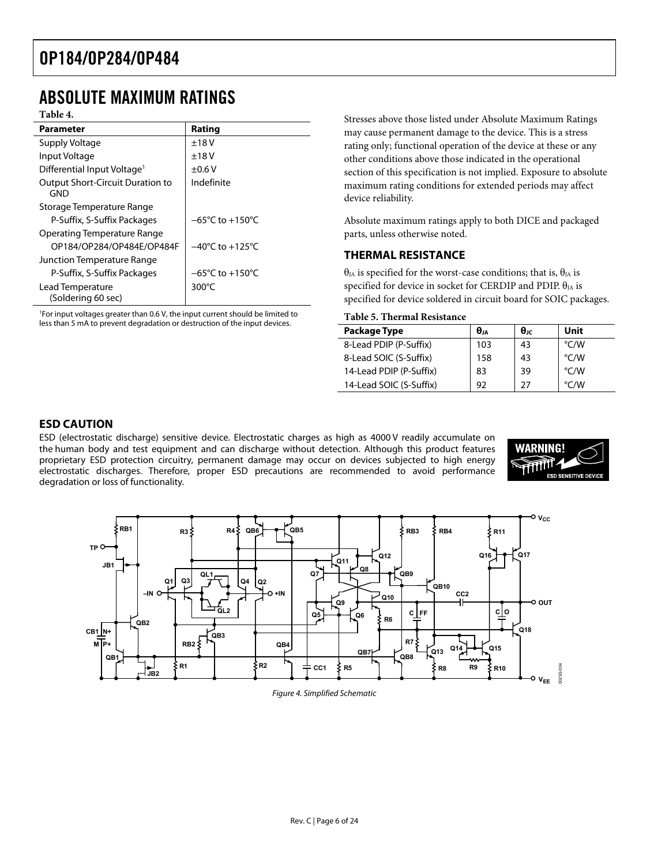### <span id="page-5-0"></span>ABSOLUTE MAXIMUM RATINGS

#### **Table 4.**

| <b>Parameter</b>                               | Rating                              |
|------------------------------------------------|-------------------------------------|
| Supply Voltage                                 | ±18V                                |
| Input Voltage                                  | ±18V                                |
| Differential Input Voltage <sup>1</sup>        | $+0.6V$                             |
| <b>Output Short-Circuit Duration to</b><br>GND | Indefinite                          |
| Storage Temperature Range                      |                                     |
| P-Suffix, S-Suffix Packages                    | $-65^{\circ}$ C to $+150^{\circ}$ C |
| Operating Temperature Range                    |                                     |
| OP184/OP284/OP484E/OP484F                      | $-40^{\circ}$ C to $+125^{\circ}$ C |
| Junction Temperature Range                     |                                     |
| P-Suffix, S-Suffix Packages                    | $-65^{\circ}$ C to $+150^{\circ}$ C |
| Lead Temperature                               | $300^{\circ}$ C                     |
| (Soldering 60 sec)                             |                                     |

<span id="page-5-1"></span>1 For input voltages greater than 0.6 V, the input current should be limited to less than 5 mA to prevent degradation or destruction of the input devices.

Stresses above those listed under Absolute Maximum Ratings may cause permanent damage to the device. This is a stress rating only; functional operation of the device at these or any other conditions above those indicated in the operational section of this specification is not implied. Exposure to absolute maximum rating conditions for extended periods may affect device reliability.

Absolute maximum ratings apply to both DICE and packaged parts, unless otherwise noted.

#### **THERMAL RESISTANCE**

 $θ<sub>IA</sub>$  is specified for the worst-case conditions; that is,  $θ<sub>IA</sub>$  is specified for device in socket for CERDIP and PDIP.  $\theta_{JA}$  is specified for device soldered in circuit board for SOIC packages.

#### **Table 5. Thermal Resistance**

| Package Type            | $\theta_{1A}$ | $\theta_{\rm IC}$ | Unit          |
|-------------------------|---------------|-------------------|---------------|
| 8-Lead PDIP (P-Suffix)  | 103           | 43                | °C/W          |
| 8-Lead SOIC (S-Suffix)  | 158           | 43                | °C/W          |
| 14-Lead PDIP (P-Suffix) | 83            | 39                | °C/W          |
| 14-Lead SOIC (S-Suffix) | 92            | 27                | $\degree$ C/W |

#### **ESD CAUTION**

ESD (electrostatic discharge) sensitive device. Electrostatic charges as high as 4000 V readily accumulate on the human body and test equipment and can discharge without detection. Although this product features proprietary ESD protection circuitry, permanent damage may occur on devices subjected to high energy electrostatic discharges. Therefore, proper ESD precautions are recommended to avoid performance degradation or loss of functionality.





Figure 4. Simplified Schematic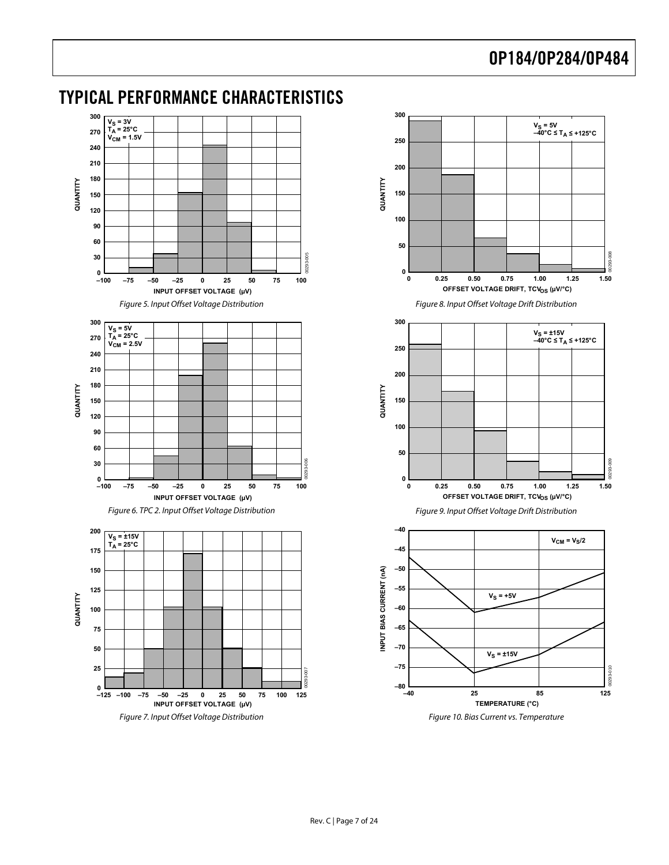<span id="page-6-1"></span>

### <span id="page-6-0"></span>TYPICAL PERFORMANCE CHARACTERISTICS

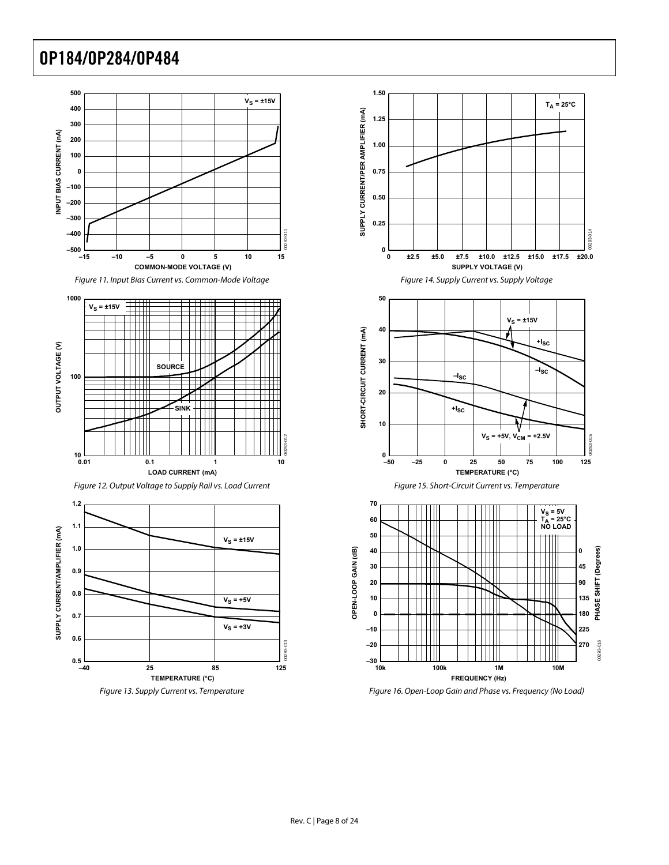





Figure 16. Open-Loop Gain and Phase vs. Frequency (No Load)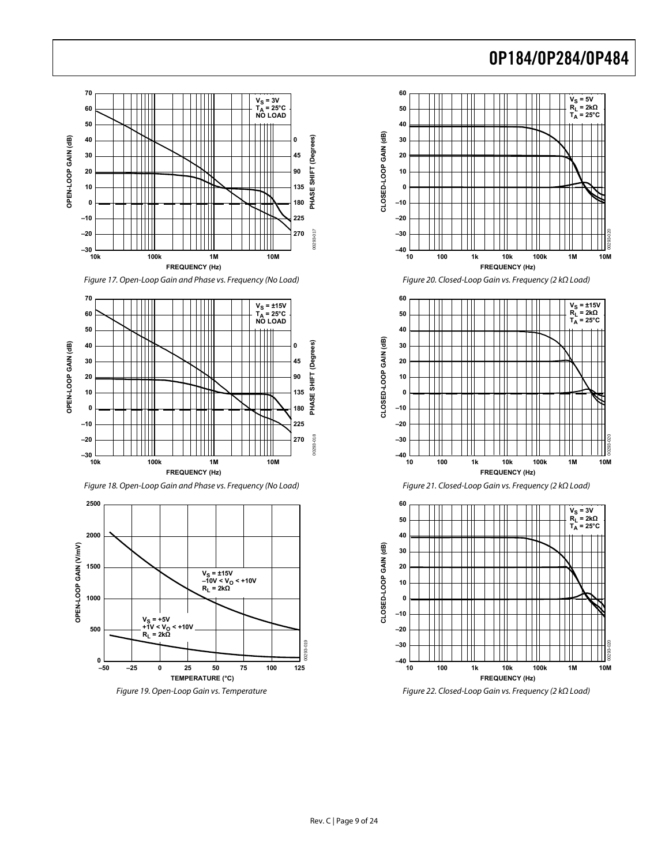

Figure 17. Open-Loop Gain and Phase vs. Frequency (No Load)







Figure 19. Open-Loop Gain vs. Temperature



Figure 20. Closed-Loop Gain vs. Frequency (2 kΩ Load)



Figure 21. Closed-Loop Gain vs. Frequency (2 kΩ Load)



Figure 22. Closed-Loop Gain vs. Frequency (2 kΩ Load)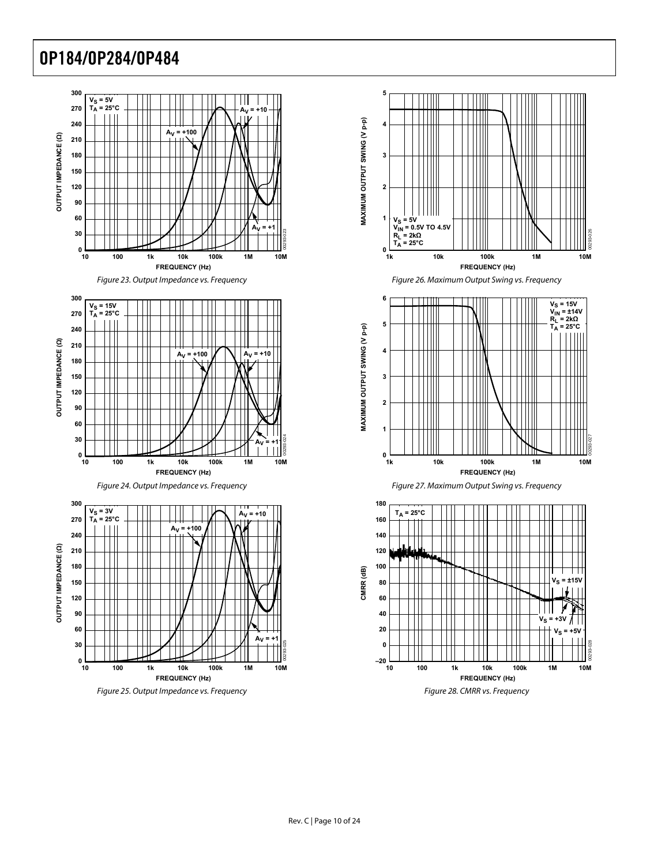

<span id="page-9-0"></span>









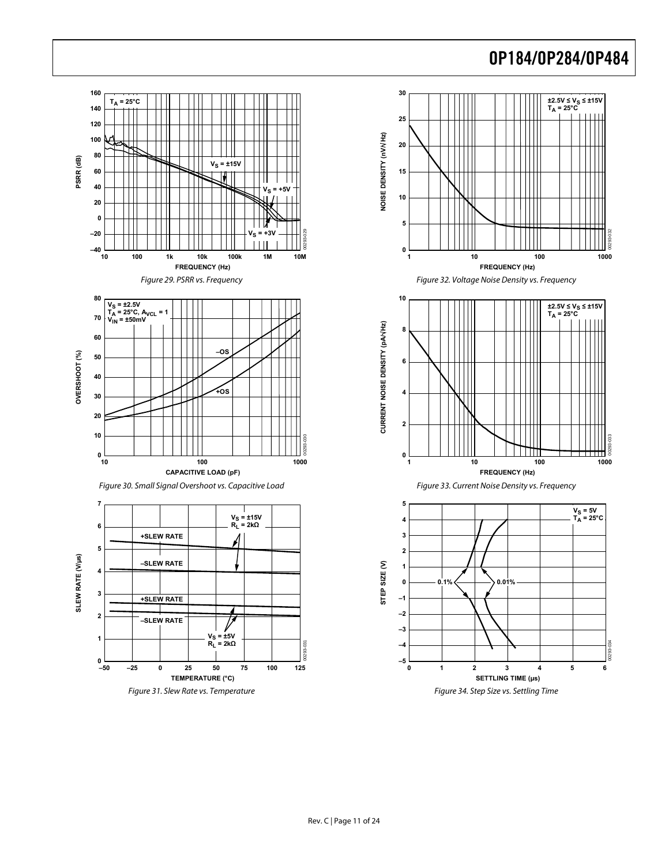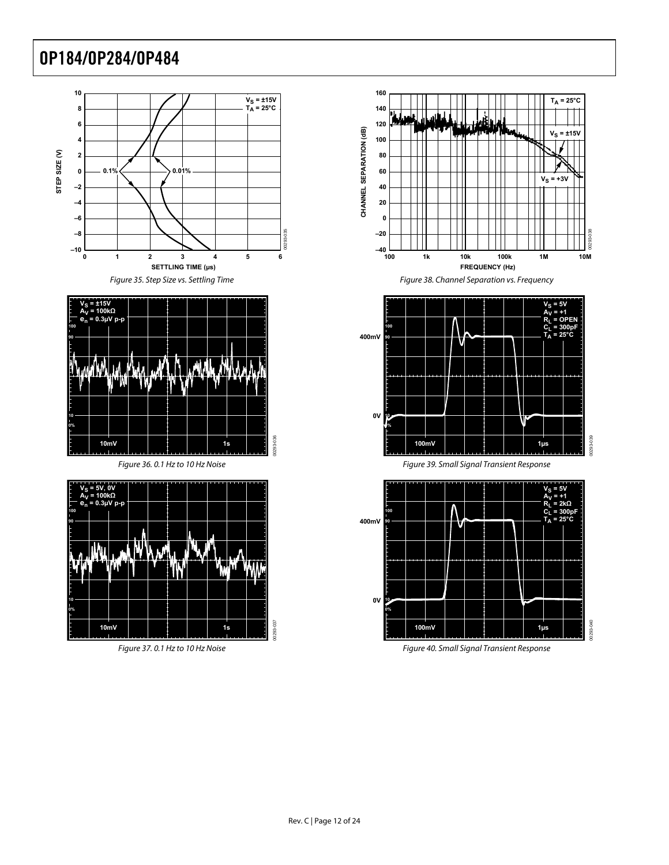



Figure 36. 0.1 Hz to 10 Hz Noise

00293-036



Figure 37. 0.1 Hz to 10 Hz Noise



Figure 38. Channel Separation vs. Frequency





Figure 40. Small Signal Transient Response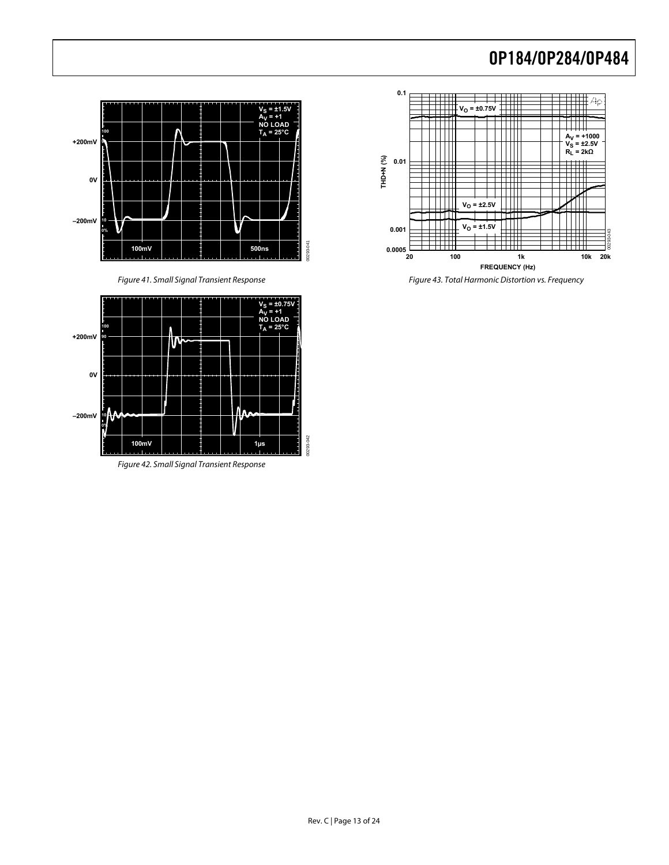



Figure 42. Small Signal Transient Response



Figure 41. Small Signal Transient Response Figure 43. Total Harmonic Distortion vs. Frequency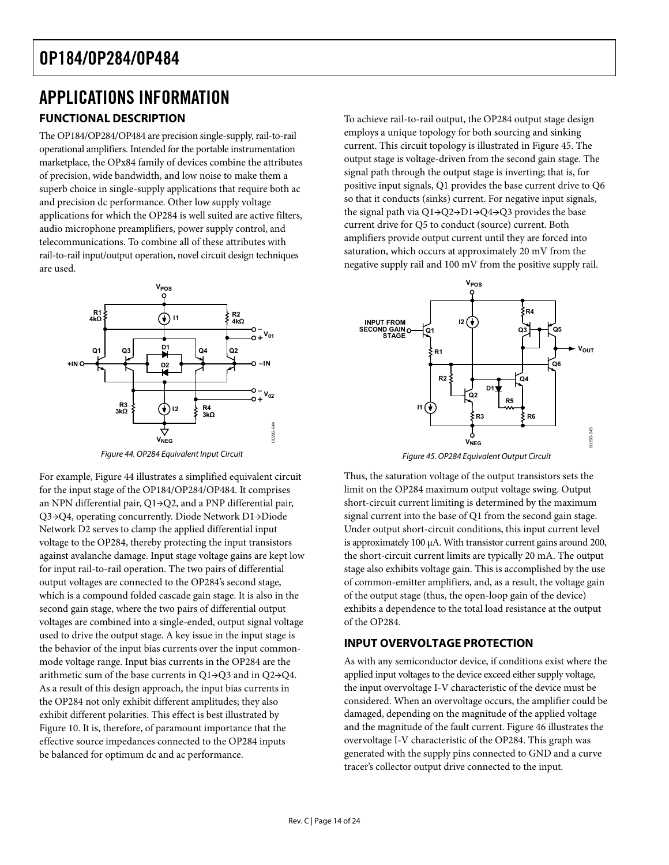# <span id="page-13-0"></span>APPLICATIONS INFORMATION

### **FUNCTIONAL DESCRIPTION**

The OP184/OP284/OP484 are precision single-supply, rail-to-rail operational amplifiers. Intended for the portable instrumentation marketplace, the OPx84 family of devices combine the attributes of precision, wide bandwidth, and low noise to make them a superb choice in single-supply applications that require both ac and precision dc performance. Other low supply voltage applications for which the OP284 is well suited are active filters, audio microphone preamplifiers, power supply control, and telecommunications. To combine all of these attributes with rail-to-rail input/output operation, novel circuit design techniques are used.



Figure 44. OP284 Equivalent Input Circuit

<span id="page-13-2"></span><span id="page-13-1"></span>For example, [Figure 44](#page-13-1) illustrates a simplified equivalent circuit for the input stage of the OP184/OP284/OP484. It comprises an NPN differential pair, Q1→Q2, and a PNP differential pair, Q3→Q4, operating concurrently. Diode Network D1→Diode Network D2 serves to clamp the applied differential input voltage to the OP284, thereby protecting the input transistors against avalanche damage. Input stage voltage gains are kept low for input rail-to-rail operation. The two pairs of differential output voltages are connected to the OP284's second stage, which is a compound folded cascade gain stage. It is also in the second gain stage, where the two pairs of differential output voltages are combined into a single-ended, output signal voltage used to drive the output stage. A key issue in the input stage is the behavior of the input bias currents over the input commonmode voltage range. Input bias currents in the OP284 are the arithmetic sum of the base currents in Q1→Q3 and in Q2→Q4. As a result of this design approach, the input bias currents in the OP284 not only exhibit different amplitudes; they also exhibit different polarities. This effect is best illustrated by [Figure 10](#page-6-1). It is, therefore, of paramount importance that the effective source impedances connected to the OP284 inputs be balanced for optimum dc and ac performance.

To achieve rail-to-rail output, the OP284 output stage design employs a unique topology for both sourcing and sinking current. This circuit topology is illustrated in [Figure 45.](#page-13-2) The output stage is voltage-driven from the second gain stage. The signal path through the output stage is inverting; that is, for positive input signals, Q1 provides the base current drive to Q6 so that it conducts (sinks) current. For negative input signals, the signal path via Q1→Q2→D1→Q4→Q3 provides the base current drive for Q5 to conduct (source) current. Both amplifiers provide output current until they are forced into saturation, which occurs at approximately 20 mV from the negative supply rail and 100 mV from the positive supply rail.



Figure 45. OP284 Equivalent Output Circuit

Thus, the saturation voltage of the output transistors sets the limit on the OP284 maximum output voltage swing. Output short-circuit current limiting is determined by the maximum signal current into the base of Q1 from the second gain stage. Under output short-circuit conditions, this input current level is approximately 100 μA. With transistor current gains around 200, the short-circuit current limits are typically 20 mA. The output stage also exhibits voltage gain. This is accomplished by the use of common-emitter amplifiers, and, as a result, the voltage gain of the output stage (thus, the open-loop gain of the device) exhibits a dependence to the total load resistance at the output of the OP284.

#### **INPUT OVERVOLTAGE PROTECTION**

As with any semiconductor device, if conditions exist where the applied input voltages to the device exceed either supply voltage, the input overvoltage I-V characteristic of the device must be considered. When an overvoltage occurs, the amplifier could be damaged, depending on the magnitude of the applied voltage and the magnitude of the fault current. [Figure 46](#page-14-1) illustrates the overvoltage I-V characteristic of the OP284. This graph was generated with the supply pins connected to GND and a curve tracer's collector output drive connected to the input.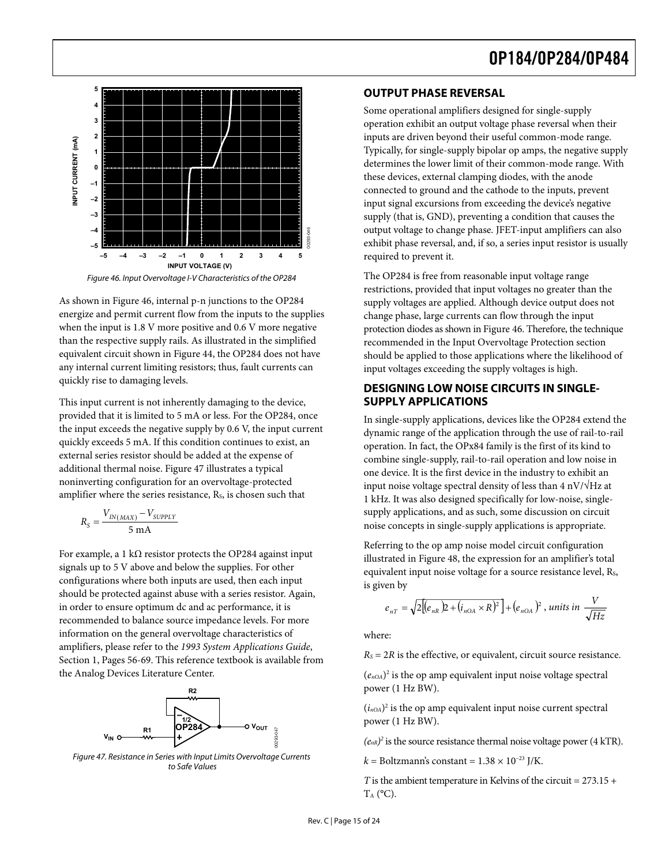<span id="page-14-0"></span>

Figure 46. Input Overvoltage I-V Characteristics of the OP284

<span id="page-14-1"></span>As shown in [Figure 46,](#page-14-1) internal p-n junctions to the OP284 energize and permit current flow from the inputs to the supplies when the input is 1.8 V more positive and 0.6 V more negative than the respective supply rails. As illustrated in the simplified equivalent circuit shown in [Figure 44](#page-13-1), the OP284 does not have any internal current limiting resistors; thus, fault currents can quickly rise to damaging levels.

This input current is not inherently damaging to the device, provided that it is limited to 5 mA or less. For the OP284, once the input exceeds the negative supply by 0.6 V, the input current quickly exceeds 5 mA. If this condition continues to exist, an external series resistor should be added at the expense of additional thermal noise. [Figure 47](#page-14-2) illustrates a typical noninverting configuration for an overvoltage-protected amplifier where the series resistance,  $R<sub>s</sub>$ , is chosen such that

$$
R_{S} = \frac{V_{IN(MAX)} - V_{SUPPLY}}{5 \text{ mA}}
$$

For example, a 1 k $\Omega$  resistor protects the OP284 against input signals up to 5 V above and below the supplies. For other configurations where both inputs are used, then each input should be protected against abuse with a series resistor. Again, in order to ensure optimum dc and ac performance, it is recommended to balance source impedance levels. For more information on the general overvoltage characteristics of amplifiers, please refer to the *1993 System Applications Guide*, Section 1, Pages 56-69. This reference textbook is available from the Analog Devices Literature Center.



<span id="page-14-2"></span>Figure 47. Resistance in Series with Input Limits Overvoltage Currents to Safe Values

#### **OUTPUT PHASE REVERSAL**

Some operational amplifiers designed for single-supply operation exhibit an output voltage phase reversal when their inputs are driven beyond their useful common-mode range. Typically, for single-supply bipolar op amps, the negative supply determines the lower limit of their common-mode range. With these devices, external clamping diodes, with the anode connected to ground and the cathode to the inputs, prevent input signal excursions from exceeding the device's negative supply (that is, GND), preventing a condition that causes the output voltage to change phase. JFET-input amplifiers can also exhibit phase reversal, and, if so, a series input resistor is usually required to prevent it.

The OP284 is free from reasonable input voltage range restrictions, provided that input voltages no greater than the supply voltages are applied. Although device output does not change phase, large currents can flow through the input protection diodes as shown in [Figure 46](#page-14-1). Therefore, the technique recommended in the Input Overvoltage Protection section should be applied to those applications where the likelihood of input voltages exceeding the supply voltages is high.

#### **DESIGNING LOW NOISE CIRCUITS IN SINGLE-SUPPLY APPLICATIONS**

outp<br>
exhi<br>
requ<br>
restrive plies<br>
ve<br>
ed reco shou inpu<br> **DES SUF**<br>
In si<br>
dyna oper<br>
com<br>
ne inpu<br>
1 kH:<br>
supp<br>
nois<br>
Refe illus<br>
equi<br>
is giv<br>
n,<br>
e,<br>
m,<br>
e,<br>
whe<br>
figure is giv<br>
n,<br>
<br>
ig (e<sub>nOA</sub><br>
pow<br>
(i<sub>nOA</sub><br>
pow<br>
(i<sub>n</sub> In single-supply applications, devices like the OP284 extend the dynamic range of the application through the use of rail-to-rail operation. In fact, the OPx84 family is the first of its kind to combine single-supply, rail-to-rail operation and low noise in one device. It is the first device in the industry to exhibit an input noise voltage spectral density of less than  $4 \frac{\text{nV}}{\text{Hz}}$  at 1 kHz. It was also designed specifically for low-noise, singlesupply applications, and as such, some discussion on circuit noise concepts in single-supply applications is appropriate.

Referring to the op amp noise model circuit configuration illustrated in [Figure 48,](#page-15-1) the expression for an amplifier's total equivalent input noise voltage for a source resistance level, Rs, is given by

$$
e_{nT} = \sqrt{2\Big[(e_{nR})^2 + (i_{nOA} \times R)^2\Big]} + (e_{nOA})^2
$$
, units in  $\frac{V}{\sqrt{Hz}}$ 

where:

 $R<sub>S</sub> = 2R$  is the effective, or equivalent, circuit source resistance.

 $(e_{n\Omega A})^2$  is the op amp equivalent input noise voltage spectral power (1 Hz BW).

 $(i_{n<sub>OA</sub>})<sup>2</sup>$  is the op amp equivalent input noise current spectral power (1 Hz BW).

 $(e_{nR})^2$  is the source resistance thermal noise voltage power (4 kTR).

 $k =$  Boltzmann's constant =  $1.38 \times 10^{-23}$  J/K.

*T* is the ambient temperature in Kelvins of the circuit = 273.15 +  $T_A$  (°C).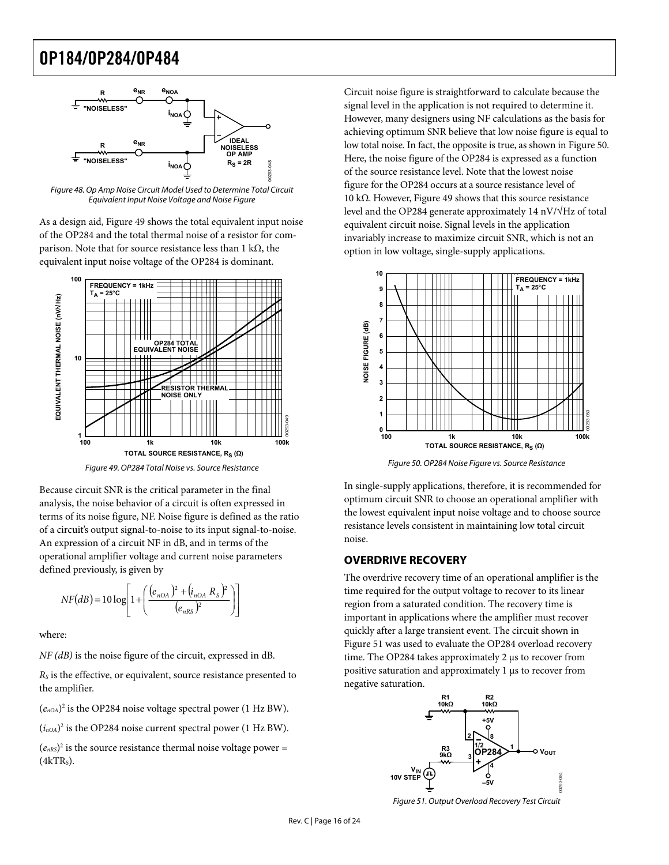<span id="page-15-0"></span>

<span id="page-15-1"></span>Figure 48. Op Amp Noise Circuit Model Used to Determine Total Circuit Equivalent Input Noise Voltage and Noise Figure

As a design aid, [Figure 49](#page-15-2) shows the total equivalent input noise of the OP284 and the total thermal noise of a resistor for comparison. Note that for source resistance less than 1 kΩ, the equivalent input noise voltage of the OP284 is dominant.



Figure 49. OP284 Total Noise vs. Source Resistance

<span id="page-15-3"></span><span id="page-15-2"></span>Because circuit SNR is the critical parameter in the final analysis, the noise behavior of a circuit is often expressed in terms of its noise figure, NF. Noise figure is defined as the ratio of a circuit's output signal-to-noise to its input signal-to-noise. An expression of a circuit NF in dB, and in terms of the operational amplifier voltage and current noise parameters defined previously, is given by

$$
NF(dB) = 10 \log \left[ 1 + \left( \frac{(e_{nOA})^2 + (i_{nOA} R_S)^2}{(e_{nRS})^2} \right) \right]
$$

where:

*NF (dB)* is the noise figure of the circuit, expressed in dB.

*RS* is the effective, or equivalent, source resistance presented to the amplifier.

 $(e_{n0A})^2$  is the OP284 noise voltage spectral power (1 Hz BW).

 $(i_{nOA})^2$  is the OP284 noise current spectral power (1 Hz BW).

<span id="page-15-4"></span> $(e<sub>nRS</sub>)<sup>2</sup>$  is the source resistance thermal noise voltage power =  $(4kTR<sub>s</sub>)$ .

Circuit noise figure is straightforward to calculate because the signal level in the application is not required to determine it. However, many designers using NF calculations as the basis for achieving optimum SNR believe that low noise figure is equal to low total noise. In fact, the opposite is true, as shown in [Figure](#page-15-3) 50. [He](#page-15-3)re, the noise figure of the OP284 is expressed as a function of the source resistance level. Note that the lowest noise figure for the OP284 occurs at a source resistance level of 10 kΩ. However, [Figure 49](#page-15-2) shows that this source resistance level and the OP284 generate approximately 14 nV/√Hz of total equivalent circuit noise. Signal levels in the application invariably increase to maximize circuit SNR, which is not an option in low voltage, single-supply applications.



Figure 50. OP284 Noise Figure vs. Source Resistance

In single-supply applications, therefore, it is recommended for optimum circuit SNR to choose an operational amplifier with the lowest equivalent input noise voltage and to choose source resistance levels consistent in maintaining low total circuit noise.

#### **OVERDRIVE RECOVERY**

The overdrive recovery time of an operational amplifier is the time required for the output voltage to recover to its linear region from a saturated condition. The recovery time is important in applications where the amplifier must recover quickly after a large transient event. The circuit shown in [Figure 51](#page-15-4) was used to evaluate the OP284 overload recovery time. The OP284 takes approximately 2 μs to recover from positive saturation and approximately 1 μs to recover from negative saturation.



Figure 51. Output Overload Recovery Test Circuit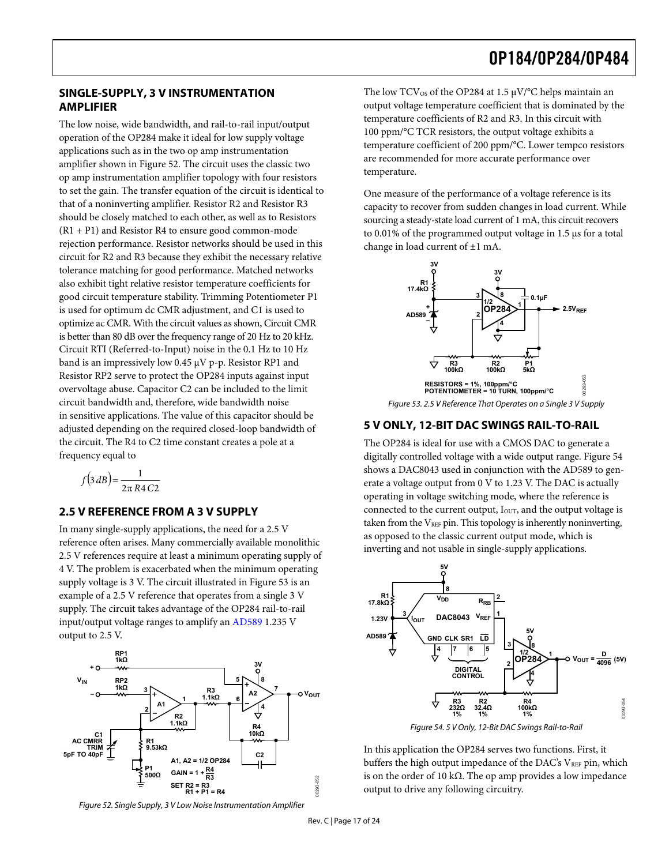#### <span id="page-16-0"></span>**SINGLE-SUPPLY, 3 V INSTRUMENTATION AMPLIFIER**

The low noise, wide bandwidth, and rail-to-rail input/output operation of the OP284 make it ideal for low supply voltage applications such as in the two op amp instrumentation amplifier shown in [Figure 52](#page-16-1). The circuit uses the classic two op amp instrumentation amplifier topology with four resistors to set the gain. The transfer equation of the circuit is identical to that of a noninverting amplifier. Resistor R2 and Resistor R3 should be closely matched to each other, as well as to Resistors  $(R1 + P1)$  and Resistor R4 to ensure good common-mode rejection performance. Resistor networks should be used in this circuit for R2 and R3 because they exhibit the necessary relative tolerance matching for good performance. Matched networks also exhibit tight relative resistor temperature coefficients for good circuit temperature stability. Trimming Potentiometer P1 is used for optimum dc CMR adjustment, and C1 is used to optimize ac CMR. With the circuit values as shown, Circuit CMR is better than 80 dB over the frequency range of 20 Hz to 20 kHz. Circuit RTI (Referred-to-Input) noise in the 0.1 Hz to 10 Hz band is an impressively low 0.45 μV p-p. Resistor RP1 and Resistor RP2 serve to protect the OP284 inputs against input overvoltage abuse. Capacitor C2 can be included to the limit circuit bandwidth and, therefore, wide bandwidth noise in sensitive applications. The value of this capacitor should be adjusted depending on the required closed-loop bandwidth of the circuit. The R4 to C2 time constant creates a pole at a frequency equal to

<span id="page-16-2"></span>
$$
f(3 dB) = \frac{1}{2\pi R4 C2}
$$

#### **2.5 V REFERENCE FROM A 3 V SUPPLY**

In many single-supply applications, the need for a 2.5 V reference often arises. Many commercially available monolithic 2.5 V references require at least a minimum operating supply of 4 V. The problem is exacerbated when the minimum operating supply voltage is 3 V. The circuit illustrated in [Figure 53](#page-16-2) is an example of a 2.5 V reference that operates from a single 3 V supply. The circuit takes advantage of the OP284 rail-to-rail input/output voltage ranges to amplify an [AD589](http://www.analog.com/en/prod/0%2C2877%2CAD589%2C00.html) 1.235 V output to 2.5 V.

<span id="page-16-3"></span>

<span id="page-16-1"></span>Figure 52. Single Supply, 3 V Low Noise Instrumentation Amplifier

The low  $TCV_{OS}$  of the OP284 at 1.5  $\mu V$ °C helps maintain an output voltage temperature coefficient that is dominated by the temperature coefficients of R2 and R3. In this circuit with 100 ppm/°C TCR resistors, the output voltage exhibits a temperature coefficient of 200 ppm/°C. Lower tempco resistors are recommended for more accurate performance over temperature.

One measure of the performance of a voltage reference is its capacity to recover from sudden changes in load current. While sourcing a steady-state load current of 1 mA, this circuit recovers to 0.01% of the programmed output voltage in 1.5 μs for a total change in load current of ±1 mA.



Figure 53. 2.5 V Reference That Operates on a Single 3 V Supply

#### **5 V ONLY, 12-BIT DAC SWINGS RAIL-TO-RAIL**

The OP284 is ideal for use with a CMOS DAC to generate a digitally controlled voltage with a wide output range. [Figure 54](#page-16-3) shows a DAC8043 used in conjunction with the AD589 to generate a voltage output from 0 V to 1.23 V. The DAC is actually operating in voltage switching mode, where the reference is connected to the current output, Iour, and the output voltage is taken from the  $V_{REF}$  pin. This topology is inherently noninverting, as opposed to the classic current output mode, which is inverting and not usable in single-supply applications.



In this application the OP284 serves two functions. First, it buffers the high output impedance of the DAC's VREF pin, which is on the order of 10 kΩ. The op amp provides a low impedance output to drive any following circuitry.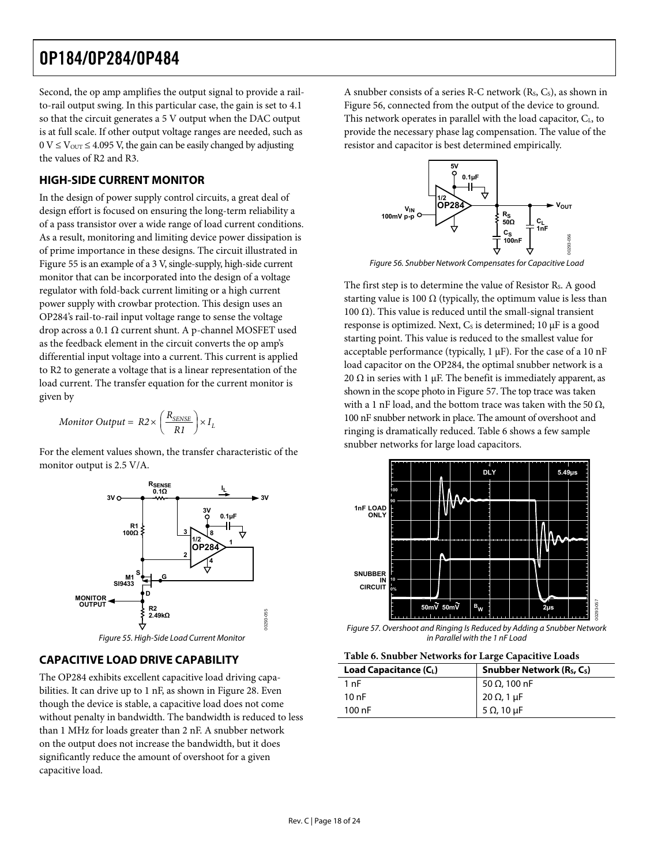<span id="page-17-0"></span>Second, the op amp amplifies the output signal to provide a railto-rail output swing. In this particular case, the gain is set to 4.1 so that the circuit generates a 5 V output when the DAC output is at full scale. If other output voltage ranges are needed, such as  $0 \text{ V} \leq \text{V}_{\text{OUT}} \leq 4.095 \text{ V}$ , the gain can be easily changed by adjusting the values of R2 and R3.

#### **HIGH-SIDE CURRENT MONITOR**

<span id="page-17-2"></span>In the design of power supply control circuits, a great deal of design effort is focused on ensuring the long-term reliability a of a pass transistor over a wide range of load current conditions. As a result, monitoring and limiting device power dissipation is of prime importance in these designs. The circuit illustrated in [Figure 55](#page-17-1) is an example of a 3 V, single-supply, high-side current monitor that can be incorporated into the design of a voltage regulator with fold-back current limiting or a high current power supply with crowbar protection. This design uses an OP284's rail-to-rail input voltage range to sense the voltage drop across a 0.1 Ω current shunt. A p-channel MOSFET used as the feedback element in the circuit converts the op amp's differential input voltage into a current. This current is applied to R2 to generate a voltage that is a linear representation of the load current. The transfer equation for the current monitor is given by

$$
Monitor\ Output = R2 \times \left(\frac{R_{\text{SENSE}}}{R1}\right) \times I_L
$$

For the element values shown, the transfer characteristic of the monitor output is 2.5 V/A.



### <span id="page-17-4"></span><span id="page-17-3"></span><span id="page-17-1"></span>**CAPACITIVE LOAD DRIVE CAPABILITY**

The OP284 exhibits excellent capacitive load driving capabilities. It can drive up to 1 nF, as shown in [Figure 28.](#page-9-0) Even though the device is stable, a capacitive load does not come without penalty in bandwidth. The bandwidth is reduced to less than 1 MHz for loads greater than 2 nF. A snubber network on the output does not increase the bandwidth, but it does significantly reduce the amount of overshoot for a given capacitive load.

A snubber consists of a series R-C network (Rs, Cs), as shown in [Figure 56](#page-17-2), connected from the output of the device to ground. This network operates in parallel with the load capacitor, C<sub>L</sub>, to provide the necessary phase lag compensation. The value of the resistor and capacitor is best determined empirically.



Figure 56. Snubber Network Compensates for Capacitive Load

The first step is to determine the value of Resistor R<sub>s</sub>. A good starting value is 100  $\Omega$  (typically, the optimum value is less than 100 Ω). This value is reduced until the small-signal transient response is optimized. Next,  $C_s$  is determined; 10  $\mu$ F is a good starting point. This value is reduced to the smallest value for acceptable performance (typically, 1 μF). For the case of a 10 nF load capacitor on the OP284, the optimal snubber network is a 20  $\Omega$  in series with 1  $\mu$ F. The benefit is immediately apparent, as shown in the scope photo in [Figure 57](#page-17-3). The top trace was taken with a 1 nF load, and the bottom trace was taken with the 50  $\Omega$ , 100 nF snubber network in place. The amount of overshoot and ringing is dramatically reduced. [Table 6](#page-17-4) shows a few sample snubber networks for large load capacitors.



Figure 57. Overshoot and Ringing Is Reduced by Adding a Snubber Network in Parallel with the 1 nF Load

| Load Capacitance (CL) | Snubber Network $(Rs, Cs)$ |
|-----------------------|----------------------------|
| 1 nF                  | 50 Ω, 100 nF               |
| 10nF                  | 20 Ω, 1 μF                 |
| $100$ nF              | 5 $\Omega$ , 10 $\mu$ F    |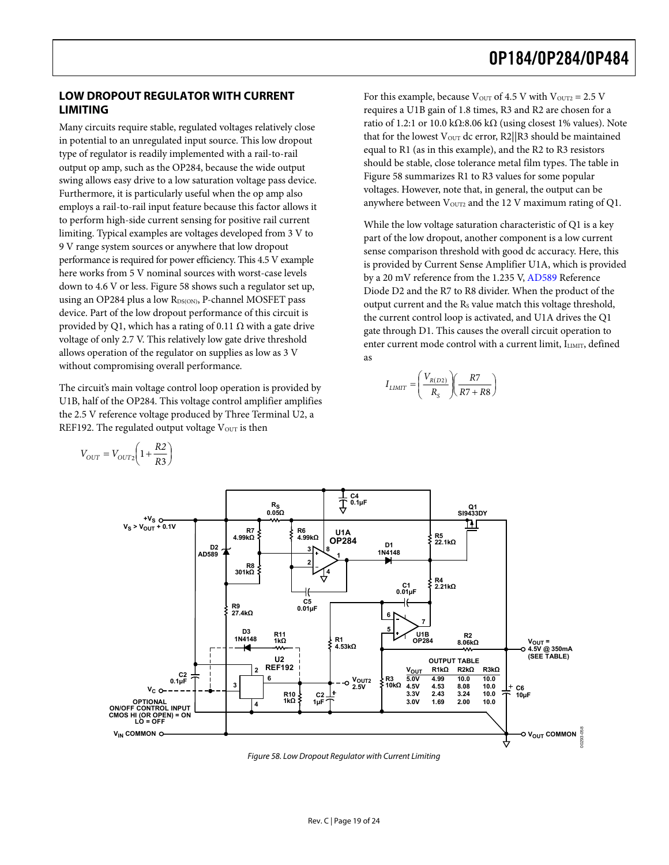#### <span id="page-18-0"></span>**LOW DROPOUT REGULATOR WITH CURRENT LIMITING**

Many circuits require stable, regulated voltages relatively close in potential to an unregulated input source. This low dropout type of regulator is readily implemented with a rail-to-rail output op amp, such as the OP284, because the wide output swing allows easy drive to a low saturation voltage pass device. Furthermore, it is particularly useful when the op amp also employs a rail-to-rail input feature because this factor allows it to perform high-side current sensing for positive rail current limiting. Typical examples are voltages developed from 3 V to 9 V range system sources or anywhere that low dropout performance is required for power efficiency. This 4.5 V example here works from 5 V nominal sources with worst-case levels down to 4.6 V or less. [Figure 58](#page-18-1) shows such a regulator set up, using an OP284 plus a low RDS(ON), P-channel MOSFET pass device. Part of the low dropout performance of this circuit is provided by Q1, which has a rating of 0.11  $\Omega$  with a gate drive voltage of only 2.7 V. This relatively low gate drive threshold allows operation of the regulator on supplies as low as 3 V without compromising overall performance.

The circuit's main voltage control loop operation is provided by U1B, half of the OP284. This voltage control amplifier amplifies the 2.5 V reference voltage produced by Three Terminal U2, a REF192. The regulated output voltage  $V<sub>OUT</sub>$  is then

> ⎟ ⎠

For this example, because  $V_{\text{OUT}}$  of 4.5 V with  $V_{\text{OUT2}} = 2.5$  V requires a U1B gain of 1.8 times, R3 and R2 are chosen for a ratio of 1.2:1 or 10.0 kΩ:8.06 kΩ (using closest 1% values). Note that for the lowest  $V_{\text{OUT}}$  dc error, R2||R3 should be maintained equal to R1 (as in this example), and the R2 to R3 resistors should be stable, close tolerance metal film types. The table in [Figure 58](#page-18-1) summarizes R1 to R3 values for some popular voltages. However, note that, in general, the output can be anywhere between  $V<sub>OUT2</sub>$  and the 12 V maximum rating of Q1.

While the low voltage saturation characteristic of Q1 is a key part of the low dropout, another component is a low current sense comparison threshold with good dc accuracy. Here, this is provided by Current Sense Amplifier U1A, which is provided by a 20 mV reference from the 1.235 V, [AD589](http://www.analog.com/en/prod/0%2C2877%2CAD589%2C00.html) Reference Diode D2 and the R7 to R8 divider. When the product of the output current and the R<sub>s</sub> value match this voltage threshold, the current control loop is activated, and U1A drives the Q1 gate through D1. This causes the overall circuit operation to enter current mode control with a current limit, ILIMIT, defined as

$$
I_{LIMIT}=\left(\frac{V_{R(D2)}}{R_S}\right)\left(\frac{R7}{R7+R8}\right)
$$



<span id="page-18-1"></span>Figure 58. Low Dropout Regulator with Current Limiting

$$
V_{OUT} = V_{OUT2} \left( 1 + \frac{R2}{R3} \right)
$$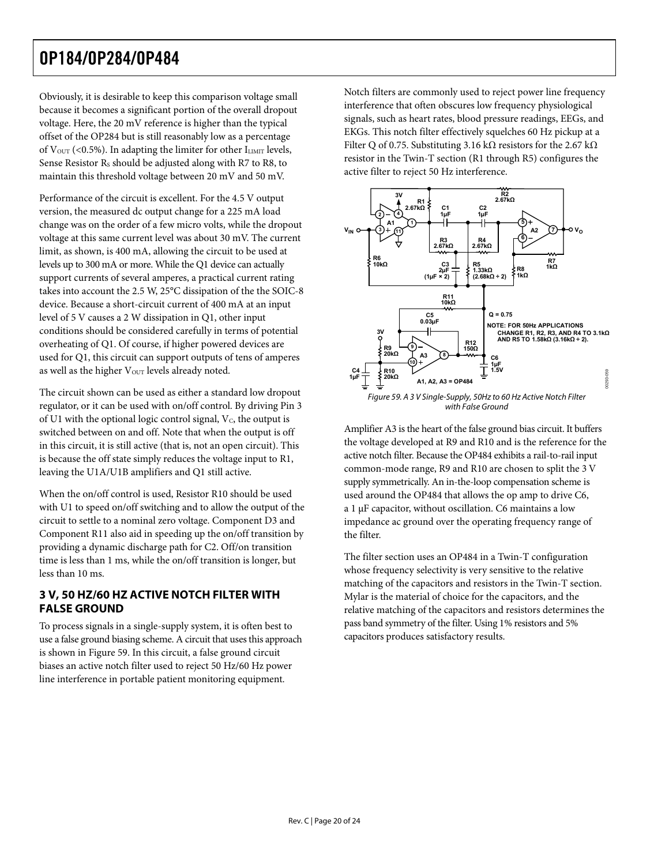<span id="page-19-0"></span>Obviously, it is desirable to keep this comparison voltage small because it becomes a significant portion of the overall dropout voltage. Here, the 20 mV reference is higher than the typical offset of the OP284 but is still reasonably low as a percentage of  $V_{\text{OUT}}$  (<0.5%). In adapting the limiter for other  $I_{\text{LIMIT}}$  levels, Sense Resistor Rs should be adjusted along with R7 to R8, to maintain this threshold voltage between 20 mV and 50 mV.

Performance of the circuit is excellent. For the 4.5 V output version, the measured dc output change for a 225 mA load change was on the order of a few micro volts, while the dropout voltage at this same current level was about 30 mV. The current limit, as shown, is 400 mA, allowing the circuit to be used at levels up to 300 mA or more. While the Q1 device can actually support currents of several amperes, a practical current rating takes into account the 2.5 W, 25°C dissipation of the the SOIC-8 device. Because a short-circuit current of 400 mA at an input level of 5 V causes a 2 W dissipation in Q1, other input conditions should be considered carefully in terms of potential overheating of Q1. Of course, if higher powered devices are used for Q1, this circuit can support outputs of tens of amperes as well as the higher V<sub>OUT</sub> levels already noted.

<span id="page-19-1"></span>The circuit shown can be used as either a standard low dropout regulator, or it can be used with on/off control. By driving Pin 3 of U1 with the optional logic control signal,  $V_c$ , the output is switched between on and off. Note that when the output is off in this circuit, it is still active (that is, not an open circuit). This is because the off state simply reduces the voltage input to R1, leaving the U1A/U1B amplifiers and Q1 still active.

When the on/off control is used, Resistor R10 should be used with U1 to speed on/off switching and to allow the output of the circuit to settle to a nominal zero voltage. Component D3 and Component R11 also aid in speeding up the on/off transition by providing a dynamic discharge path for C2. Off/on transition time is less than 1 ms, while the on/off transition is longer, but less than 10 ms.

#### **3 V, 50 HZ/60 HZ ACTIVE NOTCH FILTER WITH FALSE GROUND**

To process signals in a single-supply system, it is often best to use a false ground biasing scheme. A circuit that uses this approach is shown in [Figure 59.](#page-19-1) In this circuit, a false ground circuit biases an active notch filter used to reject 50 Hz/60 Hz power line interference in portable patient monitoring equipment.

Notch filters are commonly used to reject power line frequency interference that often obscures low frequency physiological signals, such as heart rates, blood pressure readings, EEGs, and EKGs. This notch filter effectively squelches 60 Hz pickup at a Filter Q of 0.75. Substituting 3.16 kΩ resistors for the 2.67 kΩ resistor in the Twin-T section (R1 through R5) configures the active filter to reject 50 Hz interference.



Amplifier A3 is the heart of the false ground bias circuit. It buffers the voltage developed at R9 and R10 and is the reference for the active notch filter. Because the OP484 exhibits a rail-to-rail input common-mode range, R9 and R10 are chosen to split the 3 V supply symmetrically. An in-the-loop compensation scheme is used around the OP484 that allows the op amp to drive C6, a 1 μF capacitor, without oscillation. C6 maintains a low impedance ac ground over the operating frequency range of the filter.

The filter section uses an OP484 in a Twin-T configuration whose frequency selectivity is very sensitive to the relative matching of the capacitors and resistors in the Twin-T section. Mylar is the material of choice for the capacitors, and the relative matching of the capacitors and resistors determines the pass band symmetry of the filter. Using 1% resistors and 5% capacitors produces satisfactory results.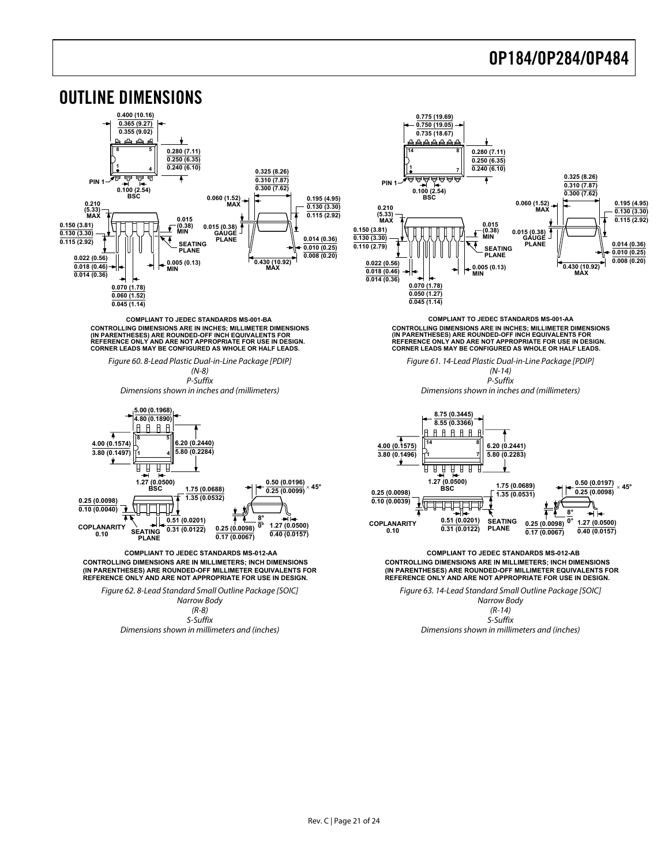<span id="page-20-0"></span>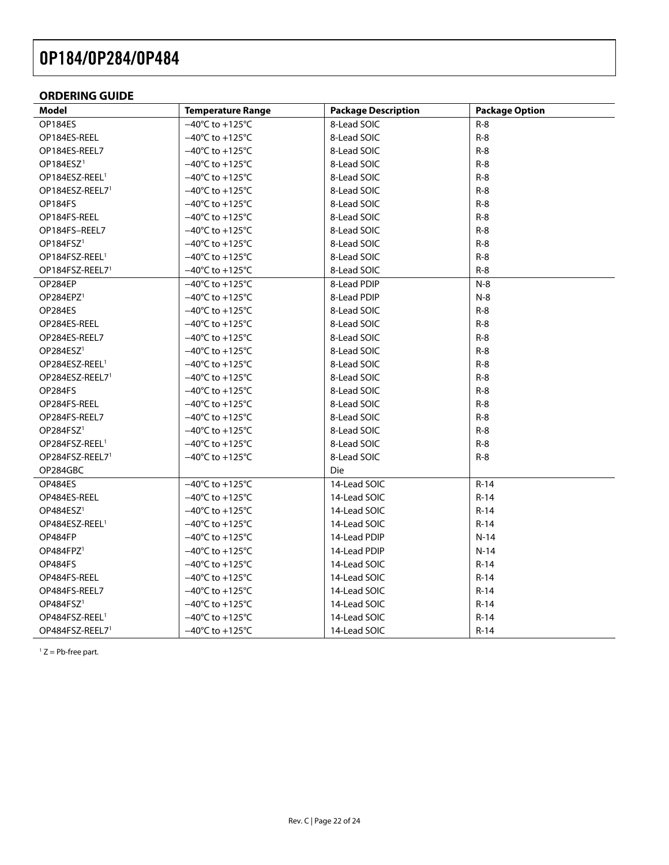#### <span id="page-21-0"></span>**ORDERING GUIDE**

| <b>Model</b>                | <b>Temperature Range</b>             | <b>Package Description</b> | <b>Package Option</b> |
|-----------------------------|--------------------------------------|----------------------------|-----------------------|
| OP184ES                     | $-40^{\circ}$ C to +125 $^{\circ}$ C | 8-Lead SOIC                | $R-8$                 |
| OP184ES-REEL                | $-40^{\circ}$ C to $+125^{\circ}$ C  | 8-Lead SOIC                | $R-8$                 |
| OP184ES-REEL7               | $-40^{\circ}$ C to $+125^{\circ}$ C  | 8-Lead SOIC                | $R-8$                 |
| OP184ESZ <sup>1</sup>       | $-40^{\circ}$ C to $+125^{\circ}$ C  | 8-Lead SOIC                | $R-8$                 |
| OP184ESZ-REEL <sup>1</sup>  | $-40^{\circ}$ C to +125 $^{\circ}$ C | 8-Lead SOIC                | $R-8$                 |
| OP184ESZ-REEL7 <sup>1</sup> | $-40^{\circ}$ C to $+125^{\circ}$ C  | 8-Lead SOIC                | $R-8$                 |
| OP184FS                     | $-40^{\circ}$ C to +125 $^{\circ}$ C | 8-Lead SOIC                | $R-8$                 |
| OP184FS-REEL                | $-40^{\circ}$ C to $+125^{\circ}$ C  | 8-Lead SOIC                | $R-8$                 |
| OP184FS-REEL7               | $-40^{\circ}$ C to +125 $^{\circ}$ C | 8-Lead SOIC                | $R-8$                 |
| OP184FSZ <sup>1</sup>       | $-40^{\circ}$ C to +125 $^{\circ}$ C | 8-Lead SOIC                | $R-8$                 |
| OP184FSZ-REEL <sup>1</sup>  | $-40^{\circ}$ C to $+125^{\circ}$ C  | 8-Lead SOIC                | $R-8$                 |
| OP184FSZ-REEL7 <sup>1</sup> | $-40^{\circ}$ C to +125 $^{\circ}$ C | 8-Lead SOIC                | $R-8$                 |
| OP284EP                     | $-40^{\circ}$ C to $+125^{\circ}$ C  | 8-Lead PDIP                | $N-8$                 |
| OP284EPZ <sup>1</sup>       | $-40^{\circ}$ C to $+125^{\circ}$ C  | 8-Lead PDIP                | $N-8$                 |
| OP284ES                     | $-40^{\circ}$ C to +125 $^{\circ}$ C | 8-Lead SOIC                | $R-8$                 |
| OP284ES-REEL                | $-40^{\circ}$ C to $+125^{\circ}$ C  | 8-Lead SOIC                | $R-8$                 |
| OP284ES-REEL7               | $-40^{\circ}$ C to +125 $^{\circ}$ C | 8-Lead SOIC                | $R-8$                 |
| OP284ESZ <sup>1</sup>       | $-40^{\circ}$ C to $+125^{\circ}$ C  | 8-Lead SOIC                | $R-8$                 |
| OP284ESZ-REEL <sup>1</sup>  | $-40^{\circ}$ C to +125 $^{\circ}$ C | 8-Lead SOIC                | $R-8$                 |
| OP284ESZ-REEL7 <sup>1</sup> | $-40^{\circ}$ C to $+125^{\circ}$ C  | 8-Lead SOIC                | $R-8$                 |
| OP284FS                     | $-40^{\circ}$ C to +125 $^{\circ}$ C | 8-Lead SOIC                | $R-8$                 |
| OP284FS-REEL                | $-40^{\circ}$ C to $+125^{\circ}$ C  | 8-Lead SOIC                | $R-8$                 |
| OP284FS-REEL7               | $-40^{\circ}$ C to +125 $^{\circ}$ C | 8-Lead SOIC                | $R-8$                 |
| OP284FSZ <sup>1</sup>       | $-40^{\circ}$ C to +125 $^{\circ}$ C | 8-Lead SOIC                | $R-8$                 |
| OP284FSZ-REEL <sup>1</sup>  | $-40^{\circ}$ C to $+125^{\circ}$ C  | 8-Lead SOIC                | $R-8$                 |
| OP284FSZ-REEL7 <sup>1</sup> | $-40^{\circ}$ C to $+125^{\circ}$ C  | 8-Lead SOIC                | $R-8$                 |
| OP284GBC                    |                                      | <b>Die</b>                 |                       |
| OP484ES                     | $-40^{\circ}$ C to +125 $^{\circ}$ C | 14-Lead SOIC               | $R-14$                |
| OP484ES-REEL                | $-40^{\circ}$ C to +125 $^{\circ}$ C | 14-Lead SOIC               | $R-14$                |
| OP484ESZ <sup>1</sup>       | $-40^{\circ}$ C to +125 $^{\circ}$ C | 14-Lead SOIC               | $R-14$                |
| OP484ESZ-REEL <sup>1</sup>  | $-40^{\circ}$ C to $+125^{\circ}$ C  | 14-Lead SOIC               | $R-14$                |
| OP484FP                     | $-40^{\circ}$ C to $+125^{\circ}$ C  | 14-Lead PDIP               | $N-14$                |
| OP484FPZ <sup>1</sup>       | $-40^{\circ}$ C to +125 $^{\circ}$ C | 14-Lead PDIP               | $N-14$                |
| OP484FS                     | $-40^{\circ}$ C to $+125^{\circ}$ C  | 14-Lead SOIC               | $R-14$                |
| OP484FS-REEL                | $-40^{\circ}$ C to $+125^{\circ}$ C  | 14-Lead SOIC               | R-14                  |
| OP484FS-REEL7               | $-40^{\circ}$ C to $+125^{\circ}$ C  | 14-Lead SOIC               | $R-14$                |
| OP484FSZ <sup>1</sup>       | $-40^{\circ}$ C to +125 $^{\circ}$ C | 14-Lead SOIC               | $R-14$                |
| OP484FSZ-REEL <sup>1</sup>  | $-40^{\circ}$ C to $+125^{\circ}$ C  | 14-Lead SOIC               | $R-14$                |
| OP484FSZ-REEL7 <sup>1</sup> | $-40^{\circ}$ C to $+125^{\circ}$ C  | 14-Lead SOIC               | $R-14$                |

<span id="page-21-1"></span> $1 Z = Pb$ -free part.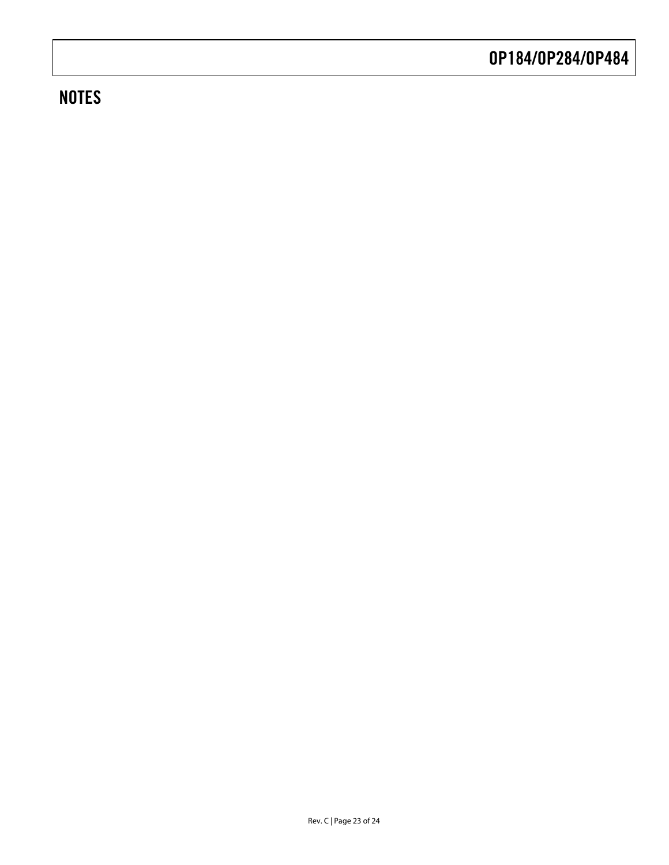### **NOTES**